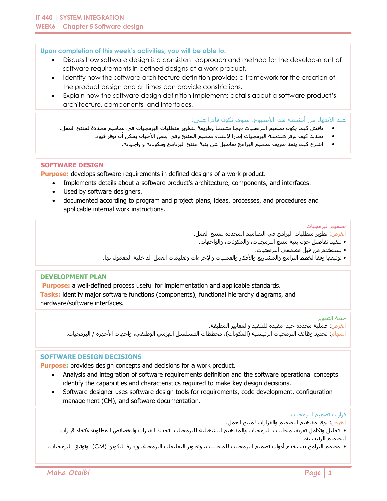#### **Upon completion of this week's activities, you will be able to:**

- Discuss how software design is a consistent approach and method for the develop-ment of software requirements in defined designs of a work product.
- Identify how the software architecture definition provides a framework for the creation of the product design and at times can provide constrictions.
- Explain how the software design definition implements details about a software product's architecture, components, and interfaces.

عند الانتهاء من أنشطة هذا الأسبوع، سوف تكون قادرا على:

- ناقش كيف يكون تصميم البرمجيات نهجا متسقا وطريقة لتطوير متطلبات البرمجيات في تصاميم محددة لمنتج العمل.
	- تحديد كيف توفر هندسة البرمجيات إطارا إلنشاء تصميم المنتج وفي بعض األحيان يمكن أن توفر قيود.
		- اشرح كيف ينفذ تعريف تصميم البرامج تفاصيل عن بنية منتج البرنامج ومكوناته و واجهاته.

### **SOFTWARE DESIGN**

**Purpose:** develops software requirements in defined designs of a work product.

- Implements details about a software product's architecture, components, and interfaces.
- Used by software designers.
- documented according to program and project plans, ideas, processes, and procedures and applicable internal work instructions.

#### تصميم البرمجيات

الغرض: تطوير متطلبات البرامج في التصاميم المحددة لمنتج العمل.

- تنفيذ تفاصيل حول بنية منتج البرمجيات، والمكونات، والواجهات.
	- يستخدم من قبل مصممي البرمجيات.
- توثيقها وفقا لخطط البرامج والمشاريع واألفكار والعمليات واإلجراءات وتعليمات العمل الداخلية المعمول بها.

### **DEVELOPMENT PLAN**

**Purpose:** a well-defined process useful for implementation and applicable standards. **Tasks:** identify major software functions (components), functional hierarchy diagrams, and hardware/software interfaces.

#### خطة التطوير

الغرض: عملية محددة جيدا مفيدة للتنفيذ والمعايير المطبقة. المهام: تحديد وظائف البرمجيات الرئيسية (المكونات)، مخططات التسلسل الهرمي الوظيفي، واجهات الأجهزة / البرمجيات.

## **SOFTWARE DESIGN DECISIONS**

**Purpose:** provides design concepts and decisions for a work product.

- Analysis and integration of software requirements definition and the software operational concepts identify the capabilities and characteristics required to make key design decisions.
- Software designer uses software design tools for requirements, code development, configuration management (CM), and software documentation.

#### قرارات تصميم البرمجيات

الغرض: يوفر مفاهيم التصميم والقرارات لمنتج العمل.

• تحليل وتكامل تعريف متطلبات البرمجيات والمفاهيم التشغيلية للبرمجيات ،تحديد القدرات والخصائص المطلوبة التخاذ قرارات التصميم الرئيسية.

• مصمم البرامج يستخدم أدوات تصميم البرمجيات للمتطلبات، وتطوير التعليمات البرمجية، وإدارة التكوين )CM)، وتوثيق البرمجيات.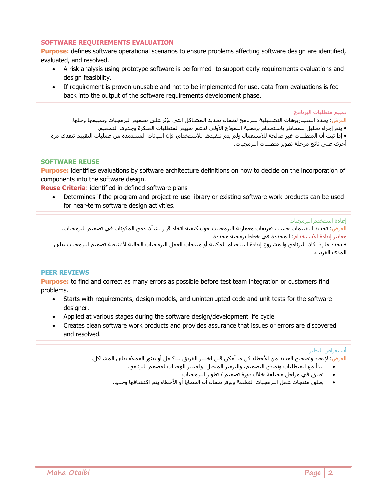#### **SOFTWARE REQUIREMENTS EVALUATION**

**Purpose:** defines software operational scenarios to ensure problems affecting software design are identified, evaluated, and resolved.

- A risk analysis using prototype software is performed to support early requirements evaluations and design feasibility.
- If requirement is proven unusable and not to be implemented for use, data from evaluations is fed back into the output of the software requirements development phase.

تقييم متطلبات البرنامج

الغرض: يحدد السيناريوهات التشغيلية للبرنامج لضمان تحديد المشاكل التي تؤثر على تصميم البرمجيات وتقييمها وحلها. • یتم إجراء تحليل للمخاطر باستخدام برمجية النموذج األولي لدعم تقييم المتطلبات المبکرة وجدوى التصميم. • إذا ثبت أن المتطلبات غير صالحة لالستعمال ولم يتم تنفيذها لالستخدام، فإن البيانات المستمدة من عمليات التقييم تتغذى مرة أخرى على ناتج مرحلة تطوير متطلبات البرمجيات.

### **SOFTWARE REUSE**

**Purpose:** identifies evaluations by software architecture definitions on how to decide on the incorporation of components into the software design.

**Reuse Criteria**: identified in defined software plans

 Determines if the program and project re-use library or existing software work products can be used for near-term software design activities.

#### إعادة استخدم البرمجيات

الغرض: تحديد التقييمات حسب تعريفات معمارية البرمجيات حول كيفية اتخاذ قرار بشأن دمج المكونات في تصميم البرمجيات. معايير إعادة االستخدام: المحددة في خطط برمجية محددة

• يحدد ما إذا كان البرنامج والمشروع إعادة استخدام المكتبة أو منتجات العمل البرمجيات الحالية ألنشطة تصميم البرمجيات على المدى القريب.

### **PEER REVIEWS**

**Purpose:** to find and correct as many errors as possible before test team integration or customers find problems.

- Starts with requirements, design models, and uninterrupted code and unit tests for the software designer.
- Applied at various stages during the software design/development life cycle
- Creates clean software work products and provides assurance that issues or errors are discovered and resolved.

#### أستعراض النظير

الغرض: لإيجاد وتصحيح العديد من الأخطاء كل ما أمكن قبل اختبار الفريق للتكامل أو عثور العملاء على المشاكل.

- یبدأ مع المتطلبات ونماذج التصميم، والترميز المتصل واختبار الوحدات لمصمم البرنامج.
	- تطبق في مراحل مختلفة خالل دورة تصميم / تطوير البرمجيات
- يخلق منتجات عمل البرمجيات النظيفة ويوفر ضمان أن القضايا أو األخطاء يتم اكتشافها وحلها.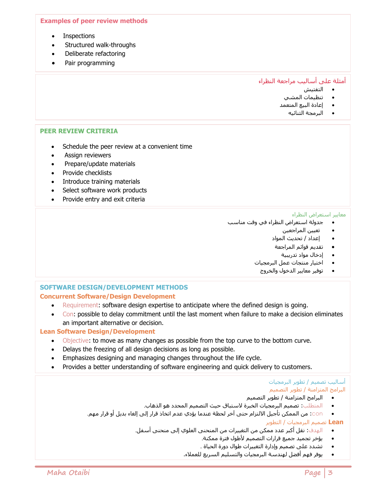#### **Examples of peer review methods**

- **Inspections**
- Structured walk-throughs
- Deliberate refactoring
- Pair programming

## أمثلة على أساليب مراجعة النظراء

- التفتيش
- تنظيمات المشي
- إعادة البيع المتعمد
	- البرمجة الثنائيه

#### **PEER REVIEW CRITERIA**

- Schedule the peer review at a convenient time
- Assign reviewers
- Prepare/update materials
- Provide checklists
- Introduce training materials
- Select software work products
- Provide entry and exit criteria

#### معايير استعراض النظراء

- جدولة استعراض النظراء في وقت مناسب
	- تعيين المراجعين
	- إعداد / تحديث المواد
	- تقديم قوائم المراجعة
		- إدخال مواد تدريبية
	- اختيار منتجات عمل البرمجيات
		- توفير معايير الدخول والخروج

## **SOFTWARE DESIGN/DEVELOPMENT METHODS Concurrent Software/Design Development**

- Requirement: software design expertise to anticipate where the defined design is going.
- Con: possible to delay commitment until the last moment when failure to make a decision eliminates an important alternative or decision.

### **Lean Software Design/Development**

- Objective: to move as many changes as possible from the top curve to the bottom curve.
- Delays the freezing of all design decisions as long as possible.
- Emphasizes designing and managing changes throughout the life cycle.
- Provides a better understanding of software engineering and quick delivery to customers.

#### أساليب تصميم / تطوير البرمجيات البرامج المتزامنة / تطوير التصميم

- البرامج المتزامنة / تطوير التصميم
- المتطلب: تصميم البرمجيات الخبرة الستباق حيث التصميم المحدد هو الذهاب.
- con: من الممكن تأجيل االلتزام حتى آخر لحظة عندما يؤدي عدم اتخاذ قرار إلى إلغاء بديل أو قرار مهم.

 **Lean** تصميم البرمجيات / التطوير

- الهدف: نقل أكبر عدد ممكن من التغييرات من المنحنى العلوي إلى منحنى أسفل.
	- يؤخر تجميد جميع قرارات التصميم ألطول فترة ممكنة.
	- تشدد على تصميم وإدارة التغييرات طوال دورة الحياة .
	- يوفر فهم أفضل لهندسة البرمجيات والتسليم السريع للعمالء.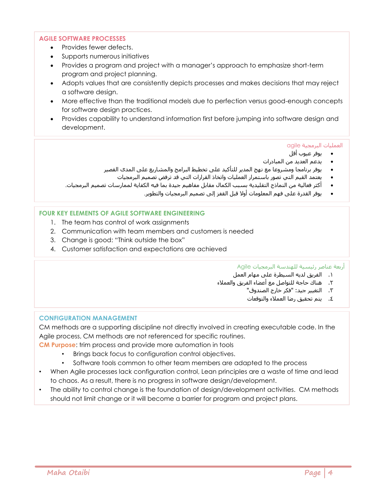## **AGILE SOFTWARE PROCESSES**

- Provides fewer defects.
- Supports numerous initiatives
- Provides a program and project with a manager's approach to emphasize short-term program and project planning.
- Adopts values that are consistently depicts processes and makes decisions that may reject a software design.
- More effective than the traditional models due to perfection versus good-enough concepts for software design practices.
- Provides capability to understand information first before jumping into software design and development.

#### العمليات البرمجية agile

- يوفر عيوب أقل
- يدعم العديد من المبادرات
- يوفر برنامجا ومشروعا مع نهج المدير للتأكيد على تخطيط البرامج والمشاريع على المدى القصير
	- يعتمد القيم التي تصور باستمرار العمليات واتخاذ القرارات التي قد ترفض تصميم البرمجيات
- أكثر فعالية من النماذج التقليدية بسبب الكمال مقابل مفاهيم جيدة بما فيه الكفاية لممارسات تصميم البرمجيات.
	- يوفر القدرة على فهم المعلومات أوال قبل القفز إلى تصميم البرمجيات والتطوير.

### **FOUR KEY ELEMENTS OF AGILE SOFTWARE ENGINEERING**

- 1. The team has control of work assignments
- 2. Communication with team members and customers is needed
- 3. Change is good: "Think outside the box"
- 4. Customer satisfaction and expectations are achieved

### أربعة عناصر رئيسية للهندسة البرمجيات Agile

- .1 الفريق لديه السيطرة على مهام العمل
- .2 هناك حاجة للتواصل مع أعضاء الفريق والعمالء
	- .3 التغيير جيد: "فكر خارج الصندوق"
		- .4 يتم تحقيق رضا العمالء والتوقعات

#### **CONFIGURATION MANAGEMENT**

CM methods are a supporting discipline not directly involved in creating executable code. In the Agile process, CM methods are not referenced for specific routines.

**CM Purpose**: trim process and provide more automation in tools

- Brings back focus to configuration control objectives.
- Software tools common to other team members are adapted to the process
- When Agile processes lack configuration control, Lean principles are a waste of time and lead to chaos. As a result, there is no progress in software design/development.
- The ability to control change is the foundation of design/development activities. CM methods should not limit change or it will become a barrier for program and project plans.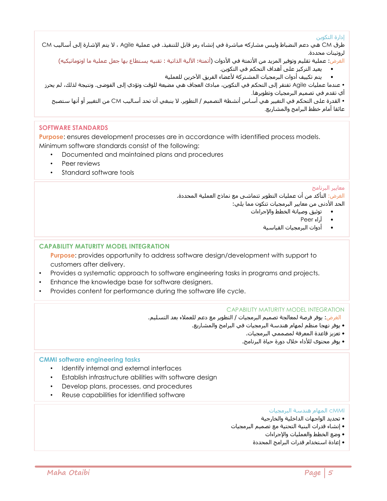# إدارة التكوين

طرق CM هي دعم النضباط وليس مشاركه مباشرة في إنشاء رمز قابل للتنفيذ. في عملية Agile ، ال يتم اإلشارة إلى أساليب CM لروتينات محددة.

الغرض: عملية تقليم وتوفير المزيد من الأتمتة في الأدوات (أتمتة؛ الآلية الذاتية : تقنيه يستطاع بها جعل عملية ما اوتوماتيكيه)

• يعيد التركيز على أهداف التحكم في التكوين.

يتم تكييف أدوات البرمجيات المشتركة لأعضاء الفريق الآخرين للعملية

 عندما عمليات Agile تفتقر إلى التحكم في التكوين، مبادئ العجاف هي مضيعة للوقت وتؤدي إلى الفوضى. ونتيجة لذلك، لم يحرز أي تقدم في تصميم البرمجيات وتطويرها.

 القدرة على التحكم في التغيير هي أساس أنشطة التصميم / التطوير. ال ينبغي أن تحد أساليب CM من التغيير أو أنها ستصبح عائقا أمام خطط البرامج والمشاريع.

# **SOFTWARE STANDARDS**

**Purpose**: ensures development processes are in accordance with identified process models. Minimum software standards consist of the following:

- Documented and maintained plans and procedures
- Peer reviews
- Standard software tools

# معايير البرنامج

الغرض: التأكد من أن عمليات التطوير تتماشى مع نماذج العملية المحددة. الحد الأدنى من معايير البرمجيات تتكون مما يلي:

- توثيق وصيانة الخطط واإلجراءات
	- آراء Peer
	- أدوات البرمجيات القياسية

## **CAPABILITY MATURITY MODEL INTEGRATION**

**Purpose**: provides opportunity to address software design/development with support to customers after delivery.

- Provides a systematic approach to software engineering tasks in programs and projects.
- Enhance the knowledge base for software designers.
- Provides content for performance during the software life cycle.

### CAPABILITY MATURITY MODEL INTEGRATION

الغرض: يوفر فرصة لمعالجة تصميم البرمجيات / التطوير مع دعم للعمالء بعد التسليم.

- يوفر نهجا منظم لمهام هندسة البرمجيات في البرامج والمشاريع.
	- تعزيز قاعدة المعرفة لمصممي البرمجيات.
	- يوفر محتوى لألداء خالل دورة حياة البرنامج.

### **CMMI software engineering tasks**

- Identify internal and external interfaces
- Establish infrastructure abilities with software design
- Develop plans, processes, and procedures
- Reuse capabilities for identified software

### cMMI المهام هندسة البرمجيات

- تحديد الواجهات الداخلية والخارجية
- إنشاء قدرات البنية التحتية مع تصميم البرمجيات
	- وضع الخطط والعمليات واإلجراءات
	- إعادة استخدام قدرات البرامج المحددة